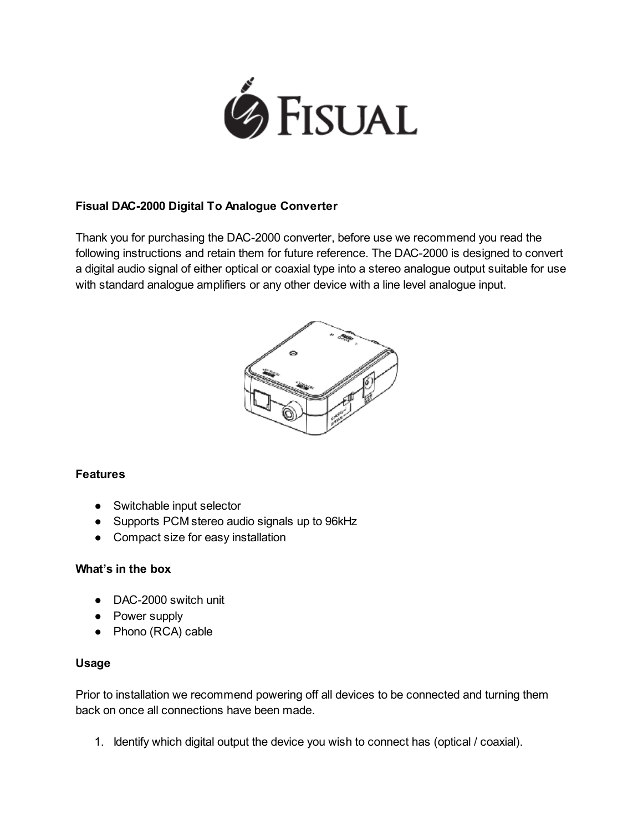

### Fisual DAC-2000 Digital To Analogue Converter

Thank you for purchasing the DAC-2000 converter, before use we recommend you read the following instructions and retain them for future reference. The DAC-2000 is designed to convert a digital audio signal of either optical or coaxial type into a stereo analogue output suitable for use with standard analogue amplifiers or any other device with a line level analogue input.



# **Features**

- Switchable input selector
- Supports PCM stereo audio signals up to 96kHz
- Compact size for easy installation

#### What's in the box

- DAC-2000 switch unit
- Power supply
- Phono (RCA) cable

#### Usage

Prior to installation we recommend powering off all devices to be connected and turning them back on once all connections have been made.

1. Identify which digital output the device you wish to connect has (optical / coaxial).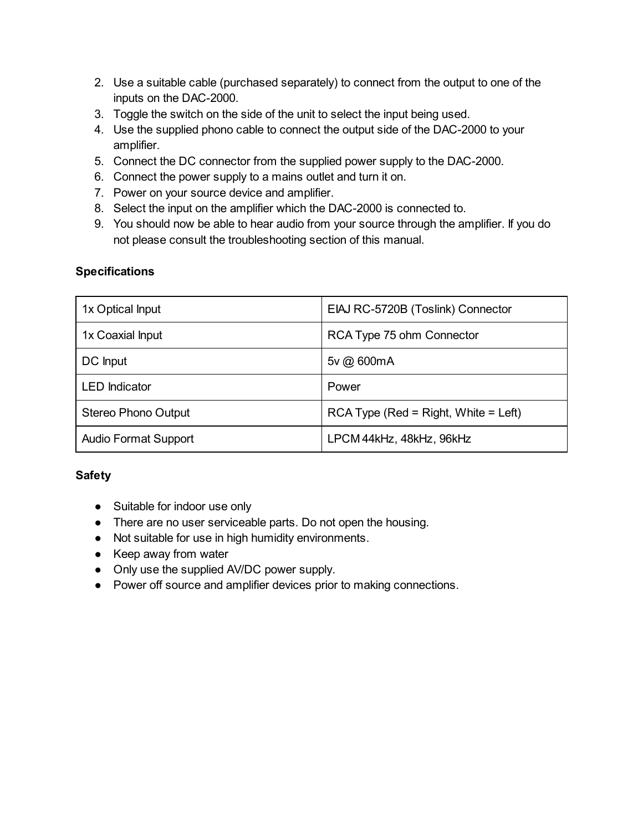- 2. Use a suitable cable (purchased separately) to connect from the output to one of the inputs on the DAC-2000.
- 3. Toggle the switch on the side of the unit to select the input being used.
- 4. Use the supplied phono cable to connect the output side of the DAC-2000 to your amplifier.
- 5. Connect the DC connector from the supplied power supply to the DAC-2000.
- 6. Connect the power supply to a mains outlet and turn it on.
- 7. Power on your source device and amplifier.
- 8. Select the input on the amplifier which the DAC-2000 is connected to.
- 9. You should now be able to hear audio from your source through the amplifier. If you do not please consult the troubleshooting section of this manual.

# **Specifications**

| 1x Optical Input            | EIAJ RC-5720B (Toslink) Connector      |
|-----------------------------|----------------------------------------|
| 1x Coaxial Input            | RCA Type 75 ohm Connector              |
| DC Input                    | 5v @ 600mA                             |
| <b>LED</b> Indicator        | Power                                  |
| <b>Stereo Phono Output</b>  | $RCA$ Type (Red = Right, White = Left) |
| <b>Audio Format Support</b> | LPCM 44kHz, 48kHz, 96kHz               |

# **Safety**

- Suitable for indoor use only
- There are no user serviceable parts. Do not open the housing.
- Not suitable for use in high humidity environments.
- Keep away from water
- Only use the supplied AV/DC power supply.
- Power off source and amplifier devices prior to making connections.